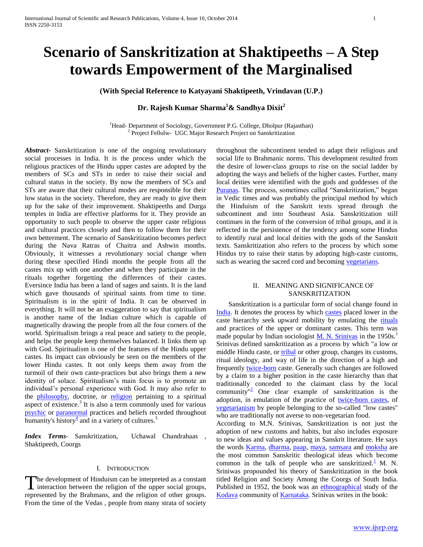# **Scenario of Sanskritization at Shaktipeeths – A Step towards Empowerment of the Marginalised**

**(With Special Reference to Katyayani Shaktipeeth, Vrindavan (U.P.)**

## **Dr. Rajesh Kumar Sharma<sup>1</sup>& Sandhya Dixit<sup>2</sup>**

<sup>1</sup>Head- Department of Sociology, Government P.G. College, Dholpur (Rajasthan) <sup>2</sup> Project Fellolw- UGC Major Research Project on Sanskritization

*Abstract***-** Sanskritization is one of the ongoing revolutionary social processes in India. It is the process under which the religious practices of the Hindu upper castes are adopted by the members of SCs and STs in order to raise their social and cultural status in the society. By now the members of SCs and STs are aware that their cultural modes are responsible for their low status in the society. Therefore, they are ready to give them up for the sake of their improvement. Shaktipeeths and Durga temples in India are effective platforms for it. They provide an opportunity to such people to observe the upper caste religious and cultural practices closely and then to follow them for their own betterment. The scenario of Sanskritization becomes perfect during the Nava Ratras of Chaitra and Ashwin months. Obviously, it witnesses a revolutionary social change when during these specified Hindi months the people from all the castes mix up with one another and when they participate in the rituals together forgetting the differences of their castes. Eversince India has been a land of sages and saints. It is the land which gave thousands of spiritual saints from time to time. Spiritualism is in the spirit of India. It can be observed in everything. It will not be an exaggeration to say that spiritualism is another name of the Indian culture which is capable of magnetically drawing the people from all the four corners of the world. Spiritualism brings a real peace and satiety to the people, and helps the people keep themselves balanced. It links them up with God. Spiritualism is one of the features of the Hindu upper castes. Its impact can obviously be seen on the members of the lower Hindu castes. It not only keeps them away from the turmoil of their own caste-practices but also brings them a new identity of solace. Spiritualism's main focus is to promote an individual"s personal experience with God. It may also refer to the [philosophy,](http://en.wikipedia.org/wiki/Philosophy) doctrine, or [religion](http://en.wikipedia.org/wiki/Religion) pertaining to a spiritual aspect of existence.<sup>3</sup> It is also a term commonly used for various [psychic](http://en.wikipedia.org/wiki/Psychic) or [paranormal](http://en.wikipedia.org/wiki/Paranormal) practices and beliefs recorded throughout humanity's history $\frac{4}{3}$  $\frac{4}{3}$  $\frac{4}{3}$  and in a variety of cultures.<sup>5</sup>

*Index Terms*- Sanskritization, Uchawal Chandrahaas , Shaktipeeth, Coorgs

#### I. INTRODUCTION

The development of Hinduism can be interpreted as a constant interaction between the religion of the upper social groups, I interaction between the religion of the upper social groups, represented by the Brahmans, and the religion of other groups. From the time of the Vedas , people from many strata of society

throughout the subcontinent tended to adapt their religious and social life to Brahmanic norms. This development resulted from the desire of lower-class groups to rise on the social ladder by adopting the ways and beliefs of the higher castes. Further, many local deities were identified with the gods and goddesses of the [Puranas.](http://www.britannica.com/EBchecked/topic/483763/Purana) The process, sometimes called "Sanskritization," began in Vedic times and was probably the principal method by which the Hinduism of the Sanskrit texts spread through the subcontinent and into Southeast Asia. Sanskritization still continues in the form of the conversion of tribal groups, and it is reflected in the persistence of the tendency among some Hindus to identify rural and local deities with the gods of the Sanskrit texts. Sanskritization also refers to the process by which some Hindus try to raise their status by adopting high-caste customs, such as wearing the sacred cord and becoming [vegetarians.](http://www.britannica.com/EBchecked/topic/624623/vegetarianism)

### II. MEANING AND SIGNIFICANCE OF SANSKRITIZATION

 Sanskritization is a particular form of social change found in [India.](http://en.wikipedia.org/wiki/India) It denotes the process by which [castes](http://en.wikipedia.org/wiki/Caste) placed lower in the caste hierarchy seek upward mobility by emulating the [rituals](http://en.wikipedia.org/wiki/Ritual) and practices of the upper or dominant castes. This term was made popular by Indian sociologist  $M$ . N. Srinivas in the 1950s.<sup>1</sup> Srinivas defined sanskritization as a process by which "a low or middle Hindu caste, or [tribal](http://en.wikipedia.org/wiki/Tribe) or other group, changes its customs, ritual ideology, and way of life in the direction of a high and frequently [twice-born](http://en.wikipedia.org/wiki/Dwija) caste. Generally such changes are followed by a claim to a higher position in the caste hierarchy than that traditionally conceded to the claimant class by the local community<sup>"[2](http://en.wikipedia.org/wiki/Sanskritization#cite_note-Jayapalan2001-4)</sup> One clear example of sanskritization is the adoption, in emulation of the practice of [twice-born castes,](http://en.wikipedia.org/wiki/Dwija) of [vegetarianism](http://en.wikipedia.org/wiki/Vegetarianism) by people belonging to the so-called "low castes" who are traditionally not averse to non-vegetarian food.

According to M.N. Srinivas, Sanskritization is not just the adoption of new customs and habits, but also includes exposure to new ideas and values appearing in Sanskrit literature. He says the words *Karma*, [dharma,](http://en.wikipedia.org/wiki/Dharma) [paap,](http://en.wikipedia.org/wiki/Sin#Hindu_views_of_sin) [maya,](http://en.wikipedia.org/wiki/Maya_%28illusion%29) [samsara](http://en.wikipedia.org/wiki/Samsara) and [moksha](http://en.wikipedia.org/wiki/Moksha) are the most common Sanskritic theological ideas which become common in the talk of people who are sanskritized. $\frac{1}{n}$  $\frac{1}{n}$  $\frac{1}{n}$  M. N. Sriniwas propounded his theory of Sanskritization in the book titled Religion and Society Among the Coorgs of South India. Published in 1952, the book was an [ethnographical](http://en.wikipedia.org/wiki/Ethnography) study of the [Kodava](http://en.wikipedia.org/wiki/Kodava_people) community o[f Karnataka.](http://en.wikipedia.org/wiki/Karnataka) Srinivas writes in the book: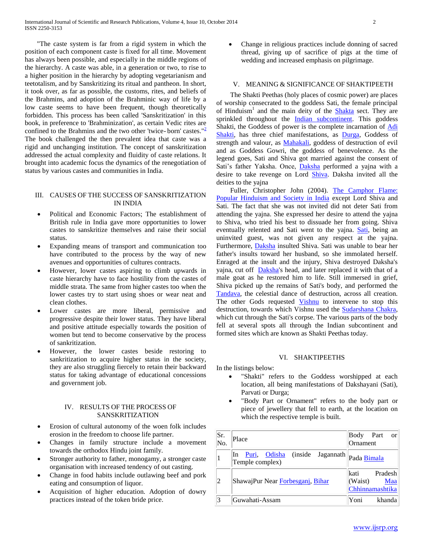"The caste system is far from a rigid system in which the position of each component caste is fixed for all time. Movement has always been possible, and especially in the middle regions of the hierarchy. A caste was able, in a generation or two, to rise to a higher position in the hierarchy by adopting vegetarianism and teetotalism, and by Sanskritizing its ritual and pantheon. In short, it took over, as far as possible, the customs, rites, and beliefs of the Brahmins, and adoption of the Brahminic way of life by a low caste seems to have been frequent, though theoretically forbidden. This process has been called 'Sanskritization' in this book, in preference to 'Brahminization', as certain Vedic rites are confined to the Brahmins and the two other 'twice- born' castes.["](http://en.wikipedia.org/wiki/Sanskritization#cite_note-7) $\frac{2}{3}$ The book challenged the then prevalent idea that caste was a rigid and unchanging institution. The concept of sanskritization addressed the actual complexity and fluidity of caste relations. It brought into academic focus the dynamics of the renegotiation of status by various castes and communities in India.

#### III. CAUSES OF THE SUCCESS OF SANSKRITIZATION IN INDIA

- Political and Economic Factors; The establishment of British rule in India gave more opportunities to lower castes to sanskritize themselves and raise their social status.
- Expanding means of transport and communication too have contributed to the process by the way of new avenues and opportunities of cultures contracts.
- However, lower castes aspiring to climb upwards in caste hierarchy have to face hostility from the castes of middle strata. The same from higher castes too when the lower castes try to start using shoes or wear neat and clean clothes.
- Lower castes are more liberal, permissive and progressive despite their lower status. They have liberal and positive attitude especially towards the position of women but tend to become conservative by the process of sankritization.
- However, the lower castes beside restoring to sankritization to acquire higher status in the society, they are also struggling fiercely to retain their backward status for taking advantage of educational concessions and government job.

## IV. RESULTS OF THE PROCESS OF SANSKRITIZATION

- Erosion of cultural autonomy of the woen folk includes erosion in the freedom to choose life partner.
- Changes in family structure include a movement towards the orthodox Hindu joint family.
- Stronger authority to father, monogamy, a stronger caste organisation with increased tendency of out casting.
- Change in food habits include outlawing beef and pork eating and consumption of liquor.
- Acquisition of higher education. Adoption of dowry practices instead of the token bride price.

 Change in religious practices include donning of sacred thread, giving up of sacrifice of pigs at the time of wedding and increased emphasis on pilgrimage.

## V. MEANING & SIGNIFICANCE OF SHAKTIPEETH

 The Shakti Peethas (holy places of cosmic power) are places of worship consecrated to the goddess Sati, the female principal of Hinduism<sup>1</sup> and the main deity of the **Shakta** sect. They are sprinkled throughout the [Indian subcontinent.](http://en.wikipedia.org/wiki/Indian_subcontinent) This goddess Shakti, the Goddess of power is the complete incarnation of [Adi](http://en.wikipedia.org/wiki/Adi_Shakti)  [Shakti,](http://en.wikipedia.org/wiki/Adi_Shakti) has three chief manifestations, as [Durga,](http://en.wikipedia.org/wiki/Durga) Goddess of strength and valour, as **Mahakali**, goddess of destruction of evil and as Goddess Gowri, the goddess of benevolence. As the legend goes, Sati and Shiva got married against the consent of Sati's father Yaksha. Once, *Daksha* performed a yajna with a desire to take revenge on Lord [Shiva.](http://en.wikipedia.org/wiki/Shiva) Daksha invited all the deities to the yajna

 Fuller, Christopher John (2004). [The Camphor Flame:](http://books.google.com/books?id=To6XSeBUW3oC&pg=PA44)  [Popular Hinduism and Society in India](http://books.google.com/books?id=To6XSeBUW3oC&pg=PA44) except Lord Shiva and Sati. The fact that she was not invited did not deter Sati from attending the yajna. She expressed her desire to attend the yajna to Shiva, who tried his best to dissuade her from going. Shiva eventually relented and Sati went to the yajna. [Sati,](http://en.wikipedia.org/wiki/Dakshayani) being an uninvited guest, was not given any respect at the yajna. Furthermore, [Daksha](http://en.wikipedia.org/wiki/Daksha) insulted Shiva. Sati was unable to bear her father's insults toward her husband, so she immolated herself. Enraged at the insult and the injury, Shiva destroyed Daksha's yajna, cut off [Daksha's](http://en.wikipedia.org/wiki/Daksha) head, and later replaced it with that of a male goat as he restored him to life. Still immersed in grief, Shiva picked up the remains of Sati's body, and performed the [Tandava,](http://en.wikipedia.org/wiki/Tandava) the celestial dance of destruction, across all creation. The other Gods requested [Vishnu](http://en.wikipedia.org/wiki/Vishnu) to intervene to stop this destruction, towards which Vishnu used the [Sudarshana Chakra,](http://en.wikipedia.org/wiki/Sudarshana_Chakra) which cut through the Sati's corpse. The various parts of the body fell at several spots all through the Indian subcontinent and formed sites which are known as Shakti Peethas today.

### VI. SHAKTIPEETHS

In the listings below:

- "Shakti" refers to the Goddess worshipped at each location, all being manifestations of Dakshayani (Sati), Parvati or Durga;
- "Body Part or Ornament" refers to the body part or piece of jewellery that fell to earth, at the location on which the respective temple is built.

| Sr.<br>No. | Place                                                   | Body Part<br><b>or</b><br>Ornament                           |
|------------|---------------------------------------------------------|--------------------------------------------------------------|
| 1          | Puri, Odisha (inside Jagannath<br>In<br>Temple complex) | Pada Bimala                                                  |
| 2          | ShawajPur Near Forbesganj, Bihar                        | lkati<br>Pradesh<br>(Waist)<br><b>Maa</b><br>Chhinnamashtika |
| 3          | Guwahati-Assam                                          | Yoni<br>khanda                                               |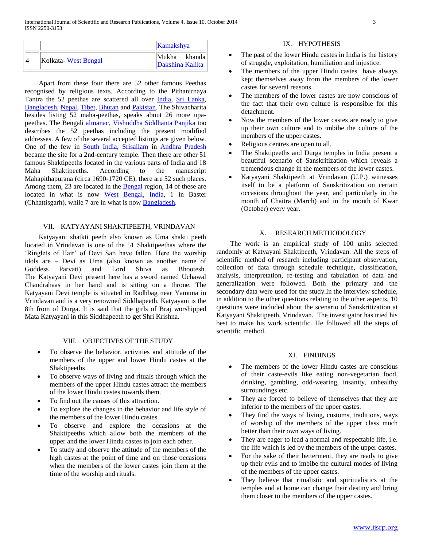|                     | Kamakshya              |
|---------------------|------------------------|
| Kolkata-West Bengal | Mukha<br>khanda        |
|                     | <b>Dakshina Kalika</b> |

 Apart from these four there are 52 other famous Peethas recognised by religious texts. According to the Pithanirnaya Tantra the 52 peethas are scattered all over [India,](http://en.wikipedia.org/wiki/India) [Sri Lanka,](http://en.wikipedia.org/wiki/Sri_Lanka)  [Bangladesh,](http://en.wikipedia.org/wiki/Bangladesh) [Nepal,](http://en.wikipedia.org/wiki/Nepal) [Tibet,](http://en.wikipedia.org/wiki/Tibet) [Bhutan](http://en.wikipedia.org/wiki/Bhutan) and [Pakistan.](http://en.wikipedia.org/wiki/Pakistan) The Shivacharita besides listing 52 maha-peethas, speaks about 26 more upapeethas. The Bengali [almanac,](http://en.wikipedia.org/wiki/Almanac) [Vishuddha Siddhanta Panjika](http://en.wikipedia.org/wiki/Vishuddha_Siddhanta_Panjika) too describes the 52 peethas including the present modified addresses. A few of the several accepted listings are given below. One of the few in [South India,](http://en.wikipedia.org/wiki/South_India) [Srisailam](http://en.wikipedia.org/wiki/Srisailam) in [Andhra Pradesh](http://en.wikipedia.org/wiki/Andhra_Pradesh) became the site for a 2nd-century temple. Then there are other 51 famous Shaktipeeths located in the various parts of India and 18 Maha Shaktipeeths. According to the manuscript Mahapithapurana (circa 1690-1720 CE), there are 52 such places. Among them, 23 are located in the **Bengal** region, 14 of these are located in what is now [West Bengal,](http://en.wikipedia.org/wiki/West_Bengal) [India,](http://en.wikipedia.org/wiki/India) 1 in Baster (Chhattisgarh), while 7 are in what is now [Bangladesh.](http://en.wikipedia.org/wiki/Bangladesh)

## VII. KATYAYANI SHAKTIPEETH, VRINDAVAN

 Katyayani shatkti peeth also known as Uma shakti peeth located in Vrindavan is one of the 51 Shaktipeethas where the 'Ringlets of Hair' of Devi Sati have fallen. Here the worship idols are – Devi as Uma (also known as another name of Goddess Parvati) and Lord Shiva as Bhootesh. The Katyayani Devi present here has a sword named Uchawal Chandrahaas in her hand and is sitting on a throne. The Katyayani Devi temple is situated in Radhbag near Yamuna in Vrindavan and is a very renowned Siddhapeeth. Katyayani is the 8th from of Durga. It is said that the girls of Braj worshipped Mata Katyayani in this Siddhapeeth to get Shri Krishna.

## VIII. OBJECTIVES OF THE STUDY

- To observe the behavior, activities and attitude of the members of the upper and lower Hindu castes at the Shaktipeeths
- To observe ways of living and rituals through which the members of the upper Hindu castes attract the members of the lower Hindu castes towards them.
- To find out the causes of this attraction.
- To explore the changes in the behavior and life style of the members of the lower Hindu castes.
- To observe and explore the occasions at the Shaktipeeths which allow both the members of the upper and the lower Hindu castes to join each other.
- To study and observe the attitude of the members of the high castes at the point of time and on those occasions when the members of the lower castes join them at the time of the worship and rituals.

#### IX. HYPOTHESIS

- The past of the lower Hindu castes in India is the history of struggle, exploitation, humiliation and injustice.
- The members of the upper Hindu castes have always kept themselves away from the members of the lower castes for several reasons.
- The members of the lower castes are now conscious of the fact that their own culture is responsible for this detachment.
- Now the members of the lower castes are ready to give up their own culture and to imbibe the culture of the members of the upper castes.
- Religious centres are open to all.
- The Shaktipeeths and Durga temples in India present a beautiful scenario of Sanskritization which reveals a tremendous change in the members of the lower castes.
- Katyayani Shaktipeeth at Vrindavan (U.P.) witnesses itself to be a platform of Sanskritization on certain occasions throughout the year, and particularly in the month of Chaitra (March) and in the month of Kwar (October) every year.

#### X. RESEARCH METHODOLOGY

 The work is an empirical study of 100 units selected randomly at Katyayani Shaktipeeth, Vrindavan. All the steps of scientific method of research including participant observation, collection of data through schedule technique, classification, analysis, interpretation, re-testing and tabulation of data and generalization were followed. Both the primary and the secondary data were used for the study.In the interview schedule, in addition to the other questions relating to the other aspects, 10 questions were included about the scenario of Sanskritization at Katyayani Shaktipeeth, Vrindavan. The investigator has tried his best to make his work scientific. He followed all the steps of scientific method.

#### XI. FINDINGS

- The members of the lower Hindu castes are conscious of their caste-evils like eating non-vegetarian food, drinking, gambling, odd-wearing, insanity, unhealthy surroundings etc.
- They are forced to believe of themselves that they are inferior to the members of the upper castes.
- They find the ways of living, customs, traditions, ways of worship of the members of the upper class much better than their own ways of living.
- They are eager to lead a normal and respectable life, i.e. the life which is led by the members of the upper castes.
- For the sake of their betterment, they are ready to give up their evils and to imbibe the cultural modes of living of the members of the upper castes.
- They believe that ritualistic and spiritualistics at the temples and at home can change their destiny and bring them closer to the members of the upper castes.